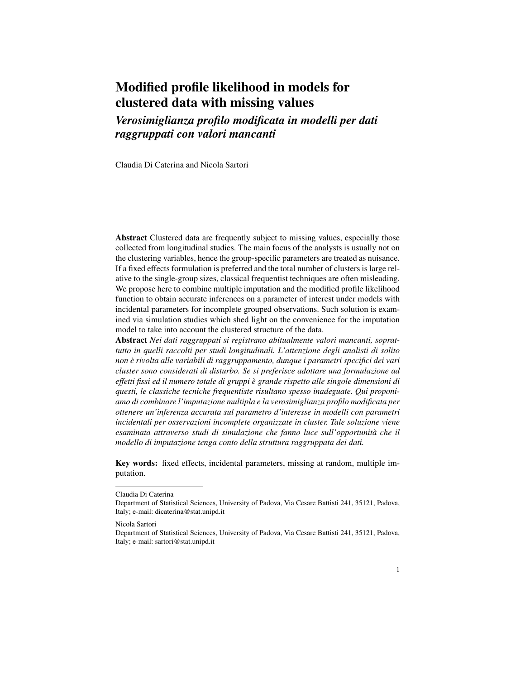# Modified profile likelihood in models for clustered data with missing values

*Verosimiglianza profilo modificata in modelli per dati raggruppati con valori mancanti*

Claudia Di Caterina and Nicola Sartori

Abstract Clustered data are frequently subject to missing values, especially those collected from longitudinal studies. The main focus of the analysts is usually not on the clustering variables, hence the group-specific parameters are treated as nuisance. If a fixed effects formulation is preferred and the total number of clusters is large relative to the single-group sizes, classical frequentist techniques are often misleading. We propose here to combine multiple imputation and the modified profile likelihood function to obtain accurate inferences on a parameter of interest under models with incidental parameters for incomplete grouped observations. Such solution is examined via simulation studies which shed light on the convenience for the imputation model to take into account the clustered structure of the data.

Abstract *Nei dati raggruppati si registrano abitualmente valori mancanti, soprattutto in quelli raccolti per studi longitudinali. L'attenzione degli analisti di solito non e rivolta alle variabili di raggruppamento, dunque i parametri specifici dei vari ` cluster sono considerati di disturbo. Se si preferisce adottare una formulazione ad effetti fissi ed il numero totale di gruppi e grande rispetto alle singole dimensioni di ` questi, le classiche tecniche frequentiste risultano spesso inadeguate. Qui proponiamo di combinare l'imputazione multipla e la verosimiglianza profilo modificata per ottenere un'inferenza accurata sul parametro d'interesse in modelli con parametri incidentali per osservazioni incomplete organizzate in cluster. Tale soluzione viene esaminata attraverso studi di simulazione che fanno luce sull'opportunita che il ` modello di imputazione tenga conto della struttura raggruppata dei dati.*

Key words: fixed effects, incidental parameters, missing at random, multiple imputation.

Claudia Di Caterina

Department of Statistical Sciences, University of Padova, Via Cesare Battisti 241, 35121, Padova, Italy; e-mail: dicaterina@stat.unipd.it

Nicola Sartori

Department of Statistical Sciences, University of Padova, Via Cesare Battisti 241, 35121, Padova, Italy; e-mail: sartori@stat.unipd.it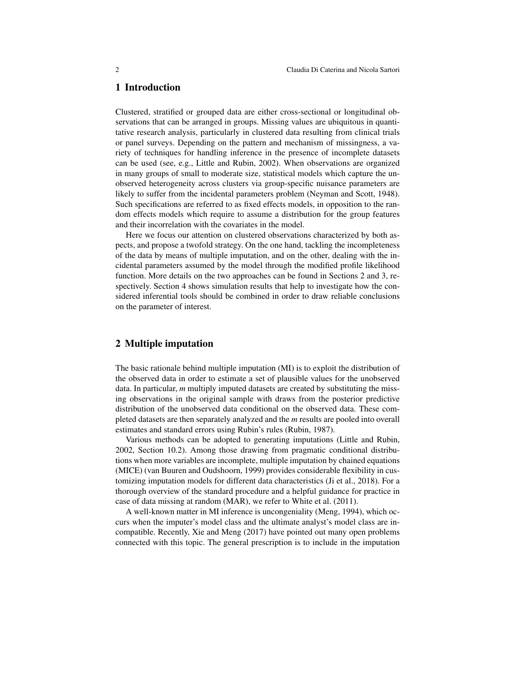## 1 Introduction

Clustered, stratified or grouped data are either cross-sectional or longitudinal observations that can be arranged in groups. Missing values are ubiquitous in quantitative research analysis, particularly in clustered data resulting from clinical trials or panel surveys. Depending on the pattern and mechanism of missingness, a variety of techniques for handling inference in the presence of incomplete datasets can be used (see, e.g., Little and Rubin, 2002). When observations are organized in many groups of small to moderate size, statistical models which capture the unobserved heterogeneity across clusters via group-specific nuisance parameters are likely to suffer from the incidental parameters problem (Neyman and Scott, 1948). Such specifications are referred to as fixed effects models, in opposition to the random effects models which require to assume a distribution for the group features and their incorrelation with the covariates in the model.

Here we focus our attention on clustered observations characterized by both aspects, and propose a twofold strategy. On the one hand, tackling the incompleteness of the data by means of multiple imputation, and on the other, dealing with the incidental parameters assumed by the model through the modified profile likelihood function. More details on the two approaches can be found in Sections 2 and 3, respectively. Section 4 shows simulation results that help to investigate how the considered inferential tools should be combined in order to draw reliable conclusions on the parameter of interest.

## 2 Multiple imputation

The basic rationale behind multiple imputation (MI) is to exploit the distribution of the observed data in order to estimate a set of plausible values for the unobserved data. In particular, *m* multiply imputed datasets are created by substituting the missing observations in the original sample with draws from the posterior predictive distribution of the unobserved data conditional on the observed data. These completed datasets are then separately analyzed and the *m* results are pooled into overall estimates and standard errors using Rubin's rules (Rubin, 1987).

Various methods can be adopted to generating imputations (Little and Rubin, 2002, Section 10.2). Among those drawing from pragmatic conditional distributions when more variables are incomplete, multiple imputation by chained equations (MICE) (van Buuren and Oudshoorn, 1999) provides considerable flexibility in customizing imputation models for different data characteristics (Ji et al., 2018). For a thorough overview of the standard procedure and a helpful guidance for practice in case of data missing at random (MAR), we refer to White et al. (2011).

A well-known matter in MI inference is uncongeniality (Meng, 1994), which occurs when the imputer's model class and the ultimate analyst's model class are incompatible. Recently, Xie and Meng (2017) have pointed out many open problems connected with this topic. The general prescription is to include in the imputation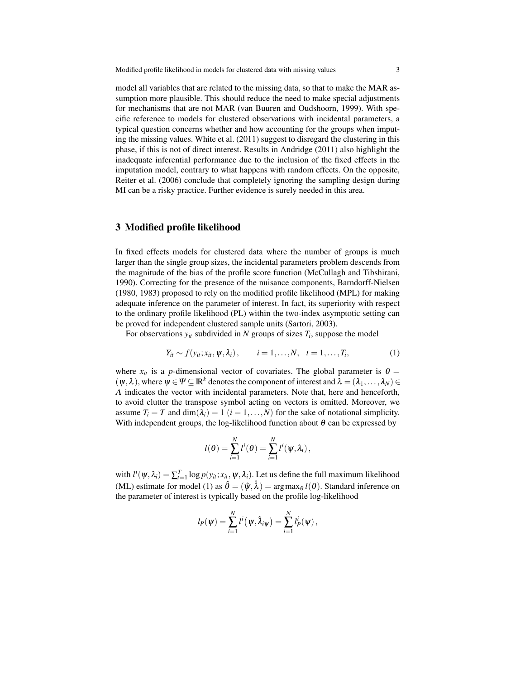model all variables that are related to the missing data, so that to make the MAR assumption more plausible. This should reduce the need to make special adjustments for mechanisms that are not MAR (van Buuren and Oudshoorn, 1999). With specific reference to models for clustered observations with incidental parameters, a typical question concerns whether and how accounting for the groups when imputing the missing values. White et al. (2011) suggest to disregard the clustering in this phase, if this is not of direct interest. Results in Andridge (2011) also highlight the inadequate inferential performance due to the inclusion of the fixed effects in the imputation model, contrary to what happens with random effects. On the opposite, Reiter et al. (2006) conclude that completely ignoring the sampling design during MI can be a risky practice. Further evidence is surely needed in this area.

## 3 Modified profile likelihood

In fixed effects models for clustered data where the number of groups is much larger than the single group sizes, the incidental parameters problem descends from the magnitude of the bias of the profile score function (McCullagh and Tibshirani, 1990). Correcting for the presence of the nuisance components, Barndorff-Nielsen (1980, 1983) proposed to rely on the modified profile likelihood (MPL) for making adequate inference on the parameter of interest. In fact, its superiority with respect to the ordinary profile likelihood (PL) within the two-index asymptotic setting can be proved for independent clustered sample units (Sartori, 2003).

For observations  $y_{it}$  subdivided in N groups of sizes  $T_i$ , suppose the model

$$
Y_{it} \sim f(y_{it}; x_{it}, \psi, \lambda_i), \qquad i = 1, \ldots, N, \quad t = 1, \ldots, T_i,
$$
 (1)

where  $x_{it}$  is a *p*-dimensional vector of covariates. The global parameter is  $\theta =$  $(\psi, \lambda)$ , where  $\psi \in \Psi \subseteq \mathbb{R}^k$  denotes the component of interest and  $\lambda = (\lambda_1, \ldots, \lambda_N) \in$  $\Lambda$  indicates the vector with incidental parameters. Note that, here and henceforth, to avoid clutter the transpose symbol acting on vectors is omitted. Moreover, we assume  $T_i = T$  and  $\dim(\lambda_i) = 1$   $(i = 1, ..., N)$  for the sake of notational simplicity. With independent groups, the log-likelihood function about  $\theta$  can be expressed by

$$
l(\theta) = \sum_{i=1}^N l^i(\theta) = \sum_{i=1}^N l^i(\psi, \lambda_i),
$$

with  $l^i(\psi, \lambda_i) = \sum_{t=1}^T \log p(y_{it}; x_{it}, \psi, \lambda_i)$ . Let us define the full maximum likelihood (ML) estimate for model (1) as  $\hat{\theta} = (\hat{\psi}, \hat{\lambda}) = \arg \max_{\theta} l(\theta)$ . Standard inference on the parameter of interest is typically based on the profile log-likelihood

$$
l_P(\psi) = \sum_{i=1}^N l^i(\psi, \hat{\lambda}_{i\psi}) = \sum_{i=1}^N l_P^i(\psi),
$$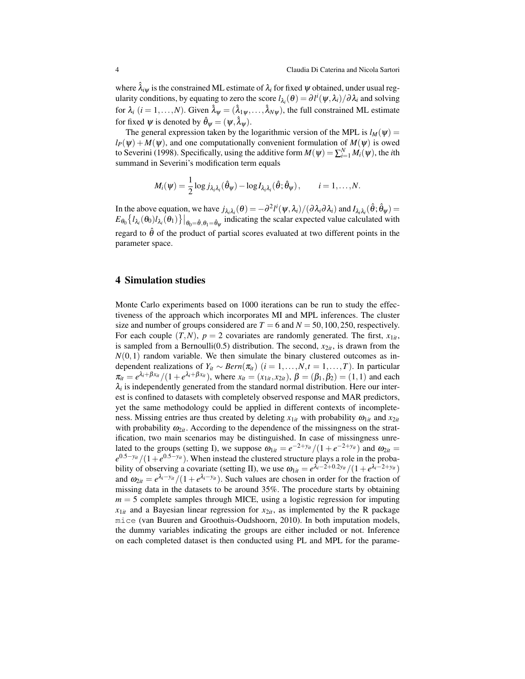where  $\lambda_i$ <sub>*i*</sub> is the constrained ML estimate of  $\lambda_i$  for fixed  $\psi$  obtained, under usual regularity conditions, by equating to zero the score  $l_{\lambda_i}(\theta) = \partial l^i(\psi, \lambda_i)/\partial \lambda_i$  and solving for  $\lambda_i$   $(i = 1, ..., N)$ . Given  $\hat{\lambda}_{\psi} = (\hat{\lambda}_{1\psi}, ..., \hat{\lambda}_{N\psi})$ , the full constrained ML estimate for fixed  $\psi$  is denoted by  $\hat{\theta}_{\psi} = (\psi, \hat{\lambda}_{\psi}).$ 

The general expression taken by the logarithmic version of the MPL is  $l_M(\psi)$  =  $l_P(\psi) + M(\psi)$ , and one computationally convenient formulation of  $M(\psi)$  is owed to Severini (1998). Specifically, using the additive form  $M(\psi) = \sum_{i=1}^{N} M_i(\psi)$ , the *i*th summand in Severini's modification term equals

$$
M_i(\psi) = \frac{1}{2}\log j_{\lambda_i\lambda_i}(\hat{\theta}_{\psi}) - \log I_{\lambda_i\lambda_i}(\hat{\theta}; \hat{\theta}_{\psi}), \qquad i = 1,\ldots,N.
$$

In the above equation, we have  $j_{\lambda_i\lambda_i}(\theta) = -\frac{\partial^2 l^i(\psi, \lambda_i)}{\partial \lambda_i \partial \lambda_i}$  and  $I_{\lambda_i\lambda_i}(\hat{\theta}; \hat{\theta}_{\psi}) =$  $E_{\theta_0} \left\{ l_{\lambda_i}(\theta_0) l_{\lambda_i}(\theta_1) \right\} \Big|_{\theta_0 = \hat{\theta}, \theta_1 = \hat{\theta}_\psi}$  indicating the scalar expected value calculated with regard to  $\hat{\theta}$  of the product of partial scores evaluated at two different points in the parameter space.

#### 4 Simulation studies

Monte Carlo experiments based on 1000 iterations can be run to study the effectiveness of the approach which incorporates MI and MPL inferences. The cluster size and number of groups considered are  $T = 6$  and  $N = 50, 100, 250$ , respectively. For each couple  $(T, N)$ ,  $p = 2$  covariates are randomly generated. The first,  $x_{1it}$ , is sampled from a Bernoulli(0.5) distribution. The second,  $x_{2it}$ , is drawn from the  $N(0,1)$  random variable. We then simulate the binary clustered outcomes as independent realizations of  $Y_{it} \sim \text{Bern}(\pi_{it})$  (*i* = 1,...,*N*,*t* = 1,...,*T*). In particular  $\pi_{it} = e^{\lambda_i + \beta x_{it}}/(1 + e^{\lambda_i + \beta x_{it}})$ , where  $x_{it} = (x_{1it}, x_{2it})$ ,  $\beta = (\beta_1, \beta_2) = (1, 1)$  and each  $\lambda_i$  is independently generated from the standard normal distribution. Here our interest is confined to datasets with completely observed response and MAR predictors, yet the same methodology could be applied in different contexts of incompleteness. Missing entries are thus created by deleting  $x_{1it}$  with probability  $\omega_{1it}$  and  $x_{2it}$ with probability  $\omega_{2it}$ . According to the dependence of the missingness on the stratification, two main scenarios may be distinguished. In case of missingness unrelated to the groups (setting I), we suppose  $\omega_{1it} = e^{-2+yit}/(1 + e^{-2+yit})$  and  $\omega_{2it} =$  $e^{0.5-y_{it}}/(1+e^{0.5-y_{it}})$ . When instead the clustered structure plays a role in the probability of observing a covariate (setting II), we use  $\omega_{1it} = e^{\lambda_i - 2 + 0.2y_{it}}/(1 + e^{\lambda_i - 2 + y_{it}})$ and  $\omega_{2it} = e^{\lambda_i - y_{it}} / (1 + e^{\lambda_i - y_{it}})$ . Such values are chosen in order for the fraction of missing data in the datasets to be around 35%. The procedure starts by obtaining  $m = 5$  complete samples through MICE, using a logistic regression for imputing  $x_{1it}$  and a Bayesian linear regression for  $x_{2it}$ , as implemented by the R package mice (van Buuren and Groothuis-Oudshoorn, 2010). In both imputation models, the dummy variables indicating the groups are either included or not. Inference on each completed dataset is then conducted using PL and MPL for the parame-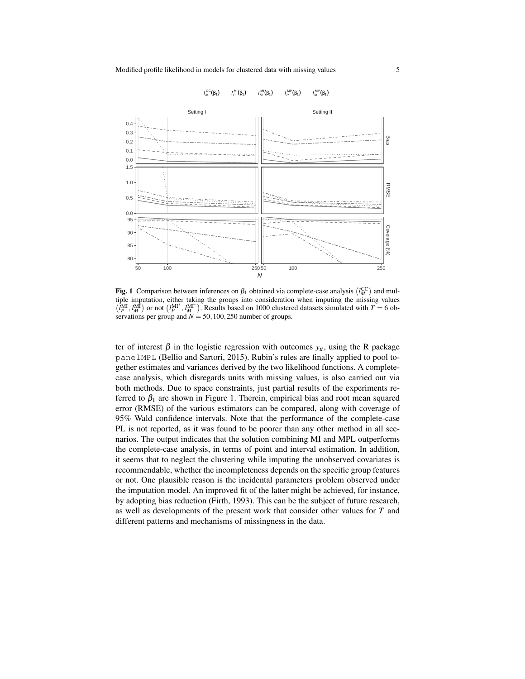

 $I_M^{\text{CC}}(\beta_1) \cdot \cdot \cdot I_P^{\text{MI}}(\beta_1) \cdot \cdot \cdot I_M^{\text{MI}}(\beta_1) \cdot \cdot \cdot I_P^{\text{MI}^*}(\beta_1) \cdot \cdot \cdot I_M^{\text{MI}^*}(\beta_1)$ 

Fig. 1 Comparison between inferences on  $\beta_1$  obtained via complete-case analysis  $(l_M^{\text{CC}})$  and multiple imputation, either taking the groups into consideration when imputing the missing values  $\left(l_p^{\text{MI}}, l_M^{\text{MI}}\right)$  or not  $\left(l_p^{\text{MI}^*}, l_M^{\text{MI}^*}\right)$ . Results based on 1000 clustered datasets simulated with  $T = 6$  observations per group and  $N = 50, 100, 250$  number of groups.

ter of interest  $\beta$  in the logistic regression with outcomes  $y_{it}$ , using the R package panelMPL (Bellio and Sartori, 2015). Rubin's rules are finally applied to pool together estimates and variances derived by the two likelihood functions. A completecase analysis, which disregards units with missing values, is also carried out via both methods. Due to space constraints, just partial results of the experiments referred to  $\beta_1$  are shown in Figure 1. Therein, empirical bias and root mean squared error (RMSE) of the various estimators can be compared, along with coverage of 95% Wald confidence intervals. Note that the performance of the complete-case PL is not reported, as it was found to be poorer than any other method in all scenarios. The output indicates that the solution combining MI and MPL outperforms the complete-case analysis, in terms of point and interval estimation. In addition, it seems that to neglect the clustering while imputing the unobserved covariates is recommendable, whether the incompleteness depends on the specific group features or not. One plausible reason is the incidental parameters problem observed under the imputation model. An improved fit of the latter might be achieved, for instance, by adopting bias reduction (Firth, 1993). This can be the subject of future research, as well as developments of the present work that consider other values for *T* and different patterns and mechanisms of missingness in the data.